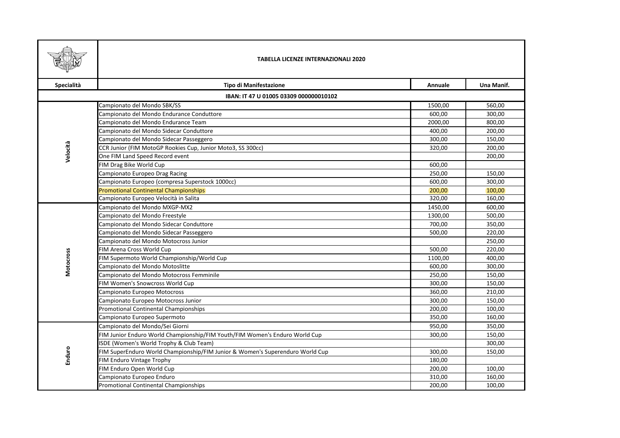|                                        | <b>TABELLA LICENZE INTERNAZIONALI 2020</b>                                    |         |            |  |
|----------------------------------------|-------------------------------------------------------------------------------|---------|------------|--|
| Specialità                             | <b>Tipo di Manifestazione</b>                                                 | Annuale | Una Manif. |  |
| IBAN: IT 47 U 01005 03309 000000010102 |                                                                               |         |            |  |
|                                        | Campionato del Mondo SBK/SS                                                   | 1500,00 | 560,00     |  |
|                                        | Campionato del Mondo Endurance Conduttore                                     | 600,00  | 300,00     |  |
|                                        | Campionato del Mondo Endurance Team                                           | 2000,00 | 800,00     |  |
|                                        | Campionato del Mondo Sidecar Conduttore                                       | 400,00  | 200,00     |  |
|                                        | Campionato del Mondo Sidecar Passeggero                                       | 300,00  | 150,00     |  |
| Velocità                               | CCR Junior (FIM MotoGP Rookies Cup, Junior Moto3, SS 300cc)                   | 320,00  | 200,00     |  |
|                                        | One FIM Land Speed Record event                                               |         | 200,00     |  |
|                                        | FIM Drag Bike World Cup                                                       | 600,00  |            |  |
|                                        | Campionato Europeo Drag Racing                                                | 250,00  | 150,00     |  |
|                                        | Campionato Europeo (compresa Superstock 1000cc)                               | 600,00  | 300,00     |  |
|                                        | <b>Promotional Continental Championships</b>                                  | 200,00  | 100,00     |  |
|                                        | Campionato Europeo Velocità in Salita                                         | 320,00  | 160,00     |  |
|                                        | Campionato del Mondo MXGP-MX2                                                 | 1450,00 | 600,00     |  |
|                                        | Campionato del Mondo Freestyle                                                | 1300,00 | 500,00     |  |
|                                        | Campionato del Mondo Sidecar Conduttore                                       | 700,00  | 350,00     |  |
|                                        | Campionato del Mondo Sidecar Passeggero                                       | 500,00  | 220,00     |  |
|                                        | Campionato del Mondo Motocross Junior                                         |         | 250,00     |  |
|                                        | FIM Arena Cross World Cup                                                     | 500,00  | 220,00     |  |
| Motocross                              | FIM Supermoto World Championship/World Cup                                    | 1100,00 | 400,00     |  |
|                                        | Campionato del Mondo Motoslitte                                               | 600,00  | 300,00     |  |
|                                        | Campionato del Mondo Motocross Femminile                                      | 250,00  | 150,00     |  |
|                                        | FIM Women's Snowcross World Cup                                               | 300,00  | 150,00     |  |
|                                        | Campionato Europeo Motocross                                                  | 360,00  | 210,00     |  |
|                                        | Campionato Europeo Motocross Junior                                           | 300,00  | 150,00     |  |
|                                        | Promotional Continental Championships                                         | 200,00  | 100,00     |  |
|                                        | Campionato Europeo Supermoto                                                  | 350,00  | 160,00     |  |
| Enduro                                 | Campionato del Mondo/Sei Giorni                                               | 950,00  | 350,00     |  |
|                                        | FIM Junior Enduro World Championship/FIM Youth/FIM Women's Enduro World Cup   | 300,00  | 150,00     |  |
|                                        | ISDE (Women's World Trophy & Club Team)                                       |         | 300,00     |  |
|                                        | FIM SuperEnduro World Championship/FIM Junior & Women's Superenduro World Cup | 300,00  | 150,00     |  |
|                                        | FIM Enduro Vintage Trophy                                                     | 180,00  |            |  |
|                                        | FIM Enduro Open World Cup                                                     | 200,00  | 100,00     |  |
|                                        | Campionato Europeo Enduro                                                     | 310,00  | 160,00     |  |
|                                        | Promotional Continental Championships                                         | 200,00  | 100,00     |  |